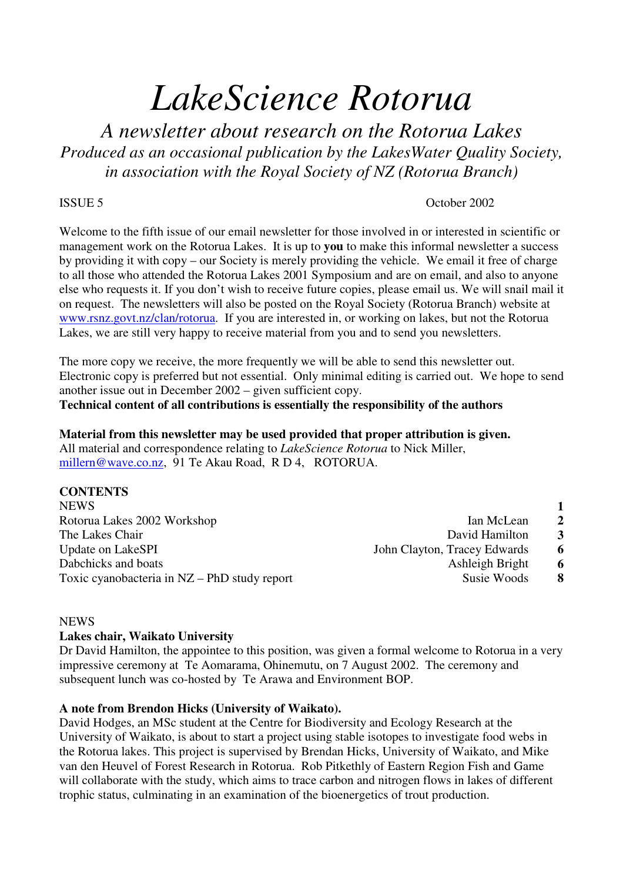# *LakeScience Rotorua*

*A newsletter about research on the Rotorua Lakes Produced as an occasional publication by the LakesWater Quality Society, in association with the Royal Society of NZ (Rotorua Branch)*

# ISSUE 5 October 2002

Welcome to the fifth issue of our email newsletter for those involved in or interested in scientific or management work on the Rotorua Lakes. It is up to **you** to make this informal newsletter a success by providing it with copy – our Society is merely providing the vehicle. We email it free of charge to all those who attended the Rotorua Lakes 2001 Symposium and are on email, and also to anyone else who requests it. If you don't wish to receive future copies, please email us. We will snail mail it on request. The newsletters will also be posted on the Royal Society (Rotorua Branch) website at www.rsnz.govt.nz/clan/rotorua. If you are interested in, or working on lakes, but not the Rotorua Lakes, we are still very happy to receive material from you and to send you newsletters.

The more copy we receive, the more frequently we will be able to send this newsletter out. Electronic copy is preferred but not essential. Only minimal editing is carried out. We hope to send another issue out in December 2002 – given sufficient copy. **Technical content of all contributions is essentially the responsibility of the authors**

**Material from this newsletter may be used provided that proper attribution is given.** All material and correspondence relating to *LakeScience Rotorua* to Nick Miller, millern@wave.co.nz, 91 Te Akau Road, R D 4, ROTORUA.

# **CONTENTS**

| NEWS                                         |                              |                |
|----------------------------------------------|------------------------------|----------------|
| Rotorua Lakes 2002 Workshop                  | Ian McLean                   | $\overline{2}$ |
| The Lakes Chair                              | David Hamilton               | 3              |
| Update on LakeSPI                            | John Clayton, Tracey Edwards | 6              |
| Dabchicks and boats                          | Ashleigh Bright              | 6              |
| Toxic cyanobacteria in NZ – PhD study report | Susie Woods                  | 8              |
|                                              |                              |                |

# **NEWS**

# **Lakes chair, Waikato University**

Dr David Hamilton, the appointee to this position, was given a formal welcome to Rotorua in a very impressive ceremony at Te Aomarama, Ohinemutu, on 7 August 2002. The ceremony and subsequent lunch was co-hosted by Te Arawa and Environment BOP.

# **A note from Brendon Hicks (University of Waikato).**

David Hodges, an MSc student at the Centre for Biodiversity and Ecology Research at the University of Waikato, is about to start a project using stable isotopes to investigate food webs in the Rotorua lakes. This project is supervised by Brendan Hicks, University of Waikato, and Mike van den Heuvel of Forest Research in Rotorua. Rob Pitkethly of Eastern Region Fish and Game will collaborate with the study, which aims to trace carbon and nitrogen flows in lakes of different trophic status, culminating in an examination of the bioenergetics of trout production.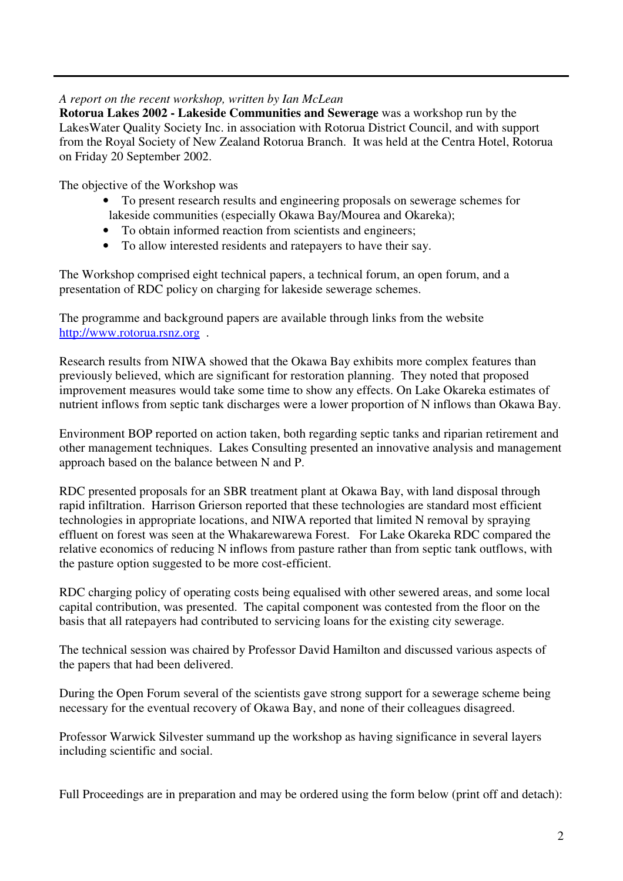# *A report on the recent workshop, written by Ian McLean*

**Rotorua Lakes 2002 - Lakeside Communities and Sewerage** was a workshop run by the LakesWater Quality Society Inc. in association with Rotorua District Council, and with support from the Royal Society of New Zealand Rotorua Branch. It was held at the Centra Hotel, Rotorua on Friday 20 September 2002.

The objective of the Workshop was

- To present research results and engineering proposals on sewerage schemes for lakeside communities (especially Okawa Bay/Mourea and Okareka);
- To obtain informed reaction from scientists and engineers;
- To allow interested residents and ratepayers to have their say.

The Workshop comprised eight technical papers, a technical forum, an open forum, and a presentation of RDC policy on charging for lakeside sewerage schemes.

The programme and background papers are available through links from the website http://www.rotorua.rsnz.org .

Research results from NIWA showed that the Okawa Bay exhibits more complex features than previously believed, which are significant for restoration planning. They noted that proposed improvement measures would take some time to show any effects. On Lake Okareka estimates of nutrient inflows from septic tank discharges were a lower proportion of N inflows than Okawa Bay.

Environment BOP reported on action taken, both regarding septic tanks and riparian retirement and other management techniques. Lakes Consulting presented an innovative analysis and management approach based on the balance between N and P.

RDC presented proposals for an SBR treatment plant at Okawa Bay, with land disposal through rapid infiltration. Harrison Grierson reported that these technologies are standard most efficient technologies in appropriate locations, and NIWA reported that limited N removal by spraying effluent on forest was seen at the Whakarewarewa Forest. For Lake Okareka RDC compared the relative economics of reducing N inflows from pasture rather than from septic tank outflows, with the pasture option suggested to be more cost-efficient.

RDC charging policy of operating costs being equalised with other sewered areas, and some local capital contribution, was presented. The capital component was contested from the floor on the basis that all ratepayers had contributed to servicing loans for the existing city sewerage.

The technical session was chaired by Professor David Hamilton and discussed various aspects of the papers that had been delivered.

During the Open Forum several of the scientists gave strong support for a sewerage scheme being necessary for the eventual recovery of Okawa Bay, and none of their colleagues disagreed.

Professor Warwick Silvester summand up the workshop as having significance in several layers including scientific and social.

Full Proceedings are in preparation and may be ordered using the form below (print off and detach):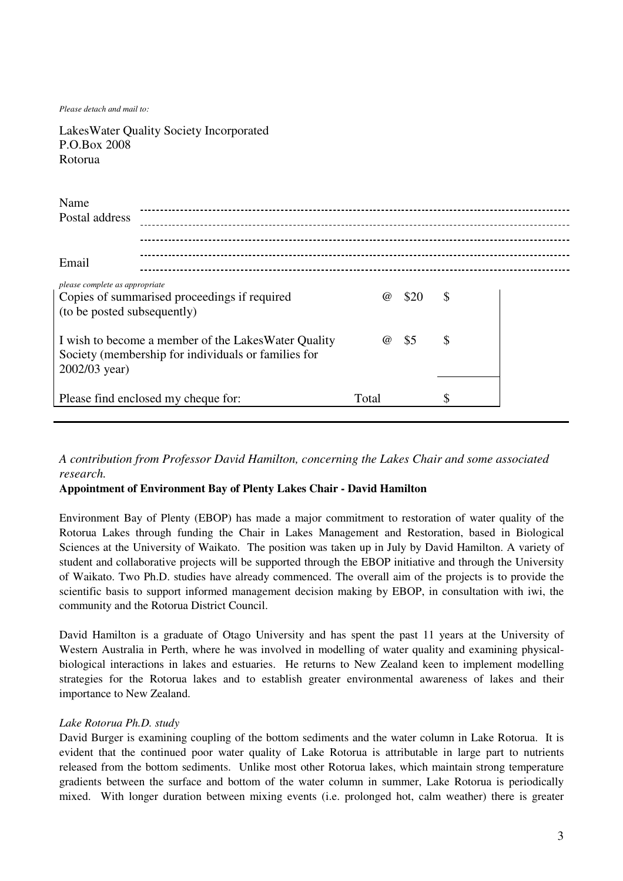*Please detach and mail to:*

LakesWater Quality Society Incorporated P.O.Box 2008 Rotorua

| Name<br>Postal address                                        |                                                                                                            |          |      |    |
|---------------------------------------------------------------|------------------------------------------------------------------------------------------------------------|----------|------|----|
|                                                               |                                                                                                            |          |      |    |
| Email                                                         |                                                                                                            |          |      |    |
| please complete as appropriate<br>(to be posted subsequently) | Copies of summarised proceedings if required                                                               | $\omega$ | \$20 | \$ |
| 2002/03 year)                                                 | I wish to become a member of the LakesWater Quality<br>Society (membership for individuals or families for | $\omega$ | \$5  | \$ |
|                                                               | Please find enclosed my cheque for:                                                                        | Total    |      | \$ |

# *A contribution from Professor David Hamilton, concerning the Lakes Chair and some associated research.*

### **Appointment of Environment Bay of Plenty Lakes Chair - David Hamilton**

Environment Bay of Plenty (EBOP) has made a major commitment to restoration of water quality of the Rotorua Lakes through funding the Chair in Lakes Management and Restoration, based in Biological Sciences at the University of Waikato. The position was taken up in July by David Hamilton. A variety of student and collaborative projects will be supported through the EBOP initiative and through the University of Waikato. Two Ph.D. studies have already commenced. The overall aim of the projects is to provide the scientific basis to support informed management decision making by EBOP, in consultation with iwi, the community and the Rotorua District Council.

David Hamilton is a graduate of Otago University and has spent the past 11 years at the University of Western Australia in Perth, where he was involved in modelling of water quality and examining physicalbiological interactions in lakes and estuaries. He returns to New Zealand keen to implement modelling strategies for the Rotorua lakes and to establish greater environmental awareness of lakes and their importance to New Zealand.

#### *Lake Rotorua Ph.D. study*

David Burger is examining coupling of the bottom sediments and the water column in Lake Rotorua. It is evident that the continued poor water quality of Lake Rotorua is attributable in large part to nutrients released from the bottom sediments. Unlike most other Rotorua lakes, which maintain strong temperature gradients between the surface and bottom of the water column in summer, Lake Rotorua is periodically mixed. With longer duration between mixing events (i.e. prolonged hot, calm weather) there is greater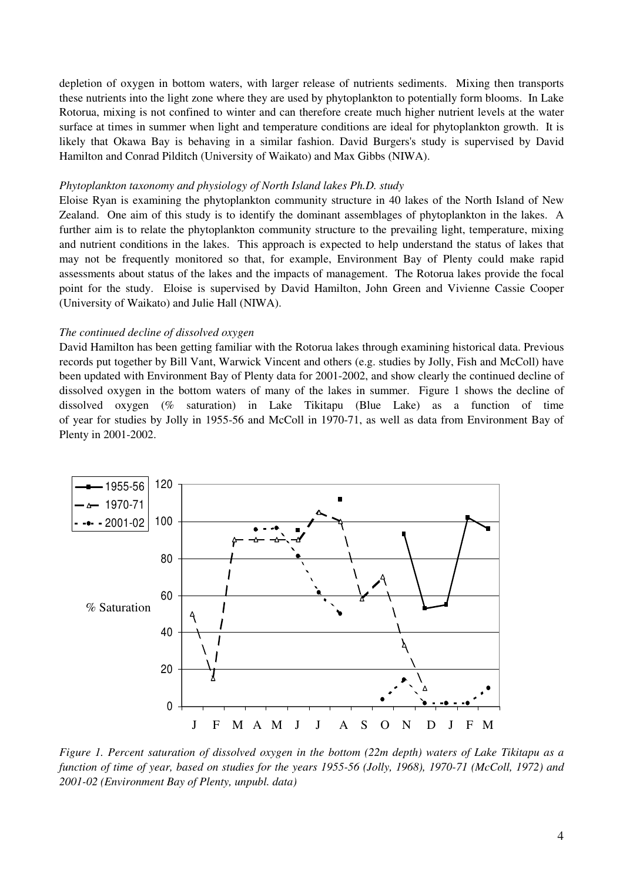depletion of oxygen in bottom waters, with larger release of nutrients sediments. Mixing then transports these nutrients into the light zone where they are used by phytoplankton to potentially form blooms. In Lake Rotorua, mixing is not confined to winter and can therefore create much higher nutrient levels at the water surface at times in summer when light and temperature conditions are ideal for phytoplankton growth. It is likely that Okawa Bay is behaving in a similar fashion. David Burgers's study is supervised by David Hamilton and Conrad Pilditch (University of Waikato) and Max Gibbs (NIWA).

#### *Phytoplankton taxonomy and physiology of North Island lakes Ph.D. study*

Eloise Ryan is examining the phytoplankton community structure in 40 lakes of the North Island of New Zealand. One aim of this study is to identify the dominant assemblages of phytoplankton in the lakes. A further aim is to relate the phytoplankton community structure to the prevailing light, temperature, mixing and nutrient conditions in the lakes. This approach is expected to help understand the status of lakes that may not be frequently monitored so that, for example, Environment Bay of Plenty could make rapid assessments about status of the lakes and the impacts of management. The Rotorua lakes provide the focal point for the study. Eloise is supervised by David Hamilton, John Green and Vivienne Cassie Cooper (University of Waikato) and Julie Hall (NIWA).

#### *The continued decline of dissolved oxygen*

David Hamilton has been getting familiar with the Rotorua lakes through examining historical data. Previous records put together by Bill Vant, Warwick Vincent and others (e.g. studies by Jolly, Fish and McColl) have been updated with Environment Bay of Plenty data for 2001-2002, and show clearly the continued decline of dissolved oxygen in the bottom waters of many of the lakes in summer. Figure 1 shows the decline of dissolved oxygen (% saturation) in Lake Tikitapu (Blue Lake) as a function of time of year for studies by Jolly in 1955-56 and McColl in 1970-71, as well as data from Environment Bay of Plenty in 2001-2002.



Figure 1. Percent saturation of dissolved oxygen in the bottom (22m depth) waters of Lake Tikitapu as a function of time of year, based on studies for the years 1955-56 (Jolly, 1968), 1970-71 (McColl, 1972) and *2001-02 (Environment Bay of Plenty, unpubl. data)*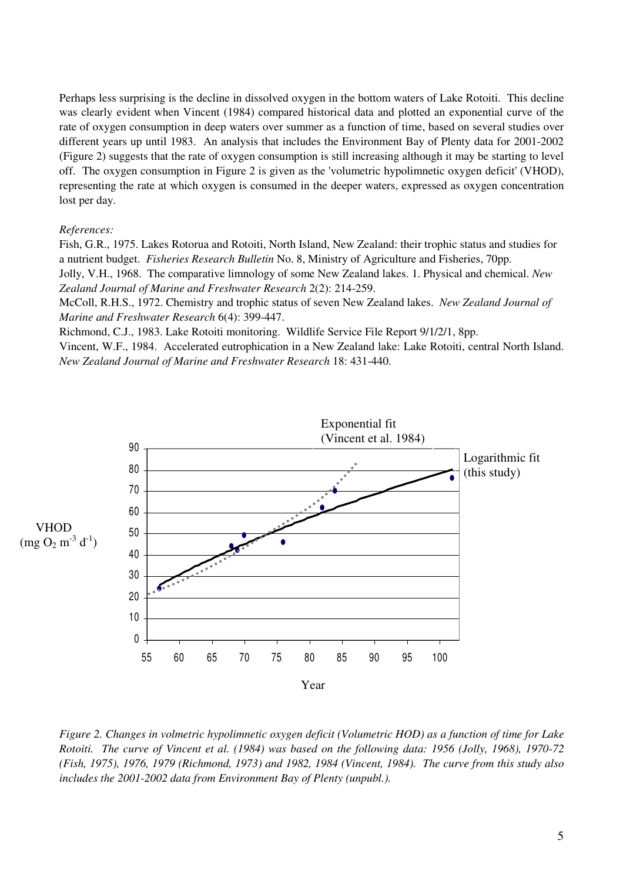Perhaps less surprising is the decline in dissolved oxygen in the bottom waters of Lake Rotoiti. This decline was clearly evident when Vincent (1984) compared historical data and plotted an exponential curve of the rate of oxygen consumption in deep waters over summer as a function of time, based on several studies over different years up until 1983. An analysis that includes the Environment Bay of Plenty data for 2001-2002 (Figure 2) suggests that the rate of oxygen consumption is still increasing although it may be starting to level off. The oxygen consumption in Figure 2 is given as the 'volumetric hypolimnetic oxygen deficit'(VHOD), representing the rate at which oxygen is consumed in the deeper waters, expressed as oxygen concentration lost per day.

#### *References:*

Fish, G.R., 1975. Lakes Rotorua and Rotoiti, North Island, New Zealand: their trophic status and studies for a nutrient budget. *Fisheries Research Bulletin* No. 8, Ministry of Agriculture and Fisheries, 70pp.

Jolly, V.H., 1968. The comparative limnology of some New Zealand lakes. 1. Physical and chemical. *New Zealand Journal of Marine and Freshwater Research* 2(2): 214-259.

McColl, R.H.S., 1972. Chemistry and trophic status of seven New Zealand lakes. *New Zealand Journal of Marine and Freshwater Research* 6(4): 399-447.

Richmond, C.J., 1983. Lake Rotoiti monitoring. Wildlife Service File Report 9/1/2/1, 8pp.

Vincent, W.F., 1984. Accelerated eutrophication in a New Zealand lake: Lake Rotoiti, central North Island. *New Zealand Journal of Marine and Freshwater Research* 18: 431-440.



Figure 2. Changes in volmetric hypolimnetic oxygen deficit (Volumetric HOD) as a function of time for Lake Rotoiti. The curve of Vincent et al. (1984) was based on the following data: 1956 (Jolly, 1968), 1970-72 *(Fish, 1975), 1976, 1979 (Richmond, 1973) and 1982, 1984 (Vincent, 1984). The curve from this study also includes the 2001-2002 data from Environment Bay of Plenty (unpubl.).*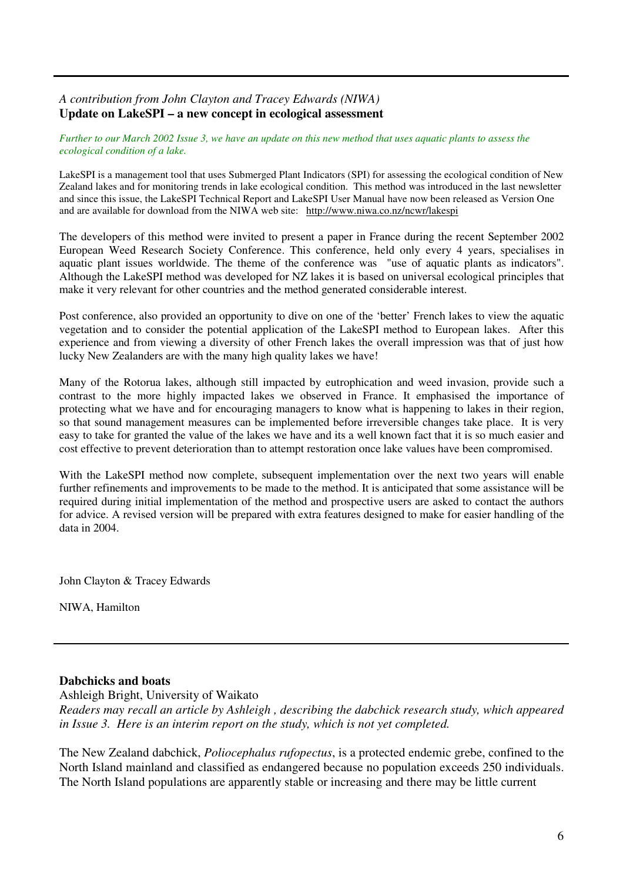# *A contribution from John Clayton and Tracey Edwards (NIWA)* **Update on LakeSPI – a new concept in ecological assessment**

Further to our March 2002 Issue 3, we have an update on this new method that uses aquatic plants to assess the *ecological condition of a lake.*

LakeSPI is a management tool that uses Submerged Plant Indicators (SPI) for assessing the ecological condition of New Zealand lakes and for monitoring trends in lake ecological condition. This method was introduced in the last newsletter and since this issue, the LakeSPI Technical Report and LakeSPI User Manual have now been released as Version One and are available for download from the NIWA web site: http://www.niwa.co.nz/ncwr/lakespi

The developers of this method were invited to present a paper in France during the recent September 2002 European Weed Research Society Conference. This conference, held only every 4 years, specialises in aquatic plant issues worldwide. The theme of the conference was "use of aquatic plants as indicators". Although the LakeSPI method was developed for NZ lakes it is based on universal ecological principles that make it very relevant for other countries and the method generated considerable interest.

Post conference, also provided an opportunity to dive on one of the 'better' French lakes to view the aquatic vegetation and to consider the potential application of the LakeSPI method to European lakes. After this experience and from viewing a diversity of other French lakes the overall impression was that of just how lucky New Zealanders are with the many high quality lakes we have!

Many of the Rotorua lakes, although still impacted by eutrophication and weed invasion, provide such a contrast to the more highly impacted lakes we observed in France. It emphasised the importance of protecting what we have and for encouraging managers to know what is happening to lakes in their region, so that sound management measures can be implemented before irreversible changes take place. It is very easy to take for granted the value of the lakes we have and its a well known fact that it is so much easier and cost effective to prevent deterioration than to attempt restoration once lake values have been compromised.

With the LakeSPI method now complete, subsequent implementation over the next two years will enable further refinements and improvements to be made to the method. It is anticipated that some assistance will be required during initial implementation of the method and prospective users are asked to contact the authors for advice. A revised version will be prepared with extra features designed to make for easier handling of the data in 2004.

John Clayton & Tracey Edwards

NIWA, Hamilton

# **Dabchicks and boats**

Ashleigh Bright, University of Waikato

*Readers may recall an article by Ashleigh , describing the dabchick research study, which appeared in Issue 3. Here is an interim report on the study, which is not yet completed.*

The New Zealand dabchick, *Poliocephalus rufopectus*, is a protected endemic grebe, confined to the North Island mainland and classified as endangered because no population exceeds 250 individuals. The North Island populations are apparently stable or increasing and there may be little current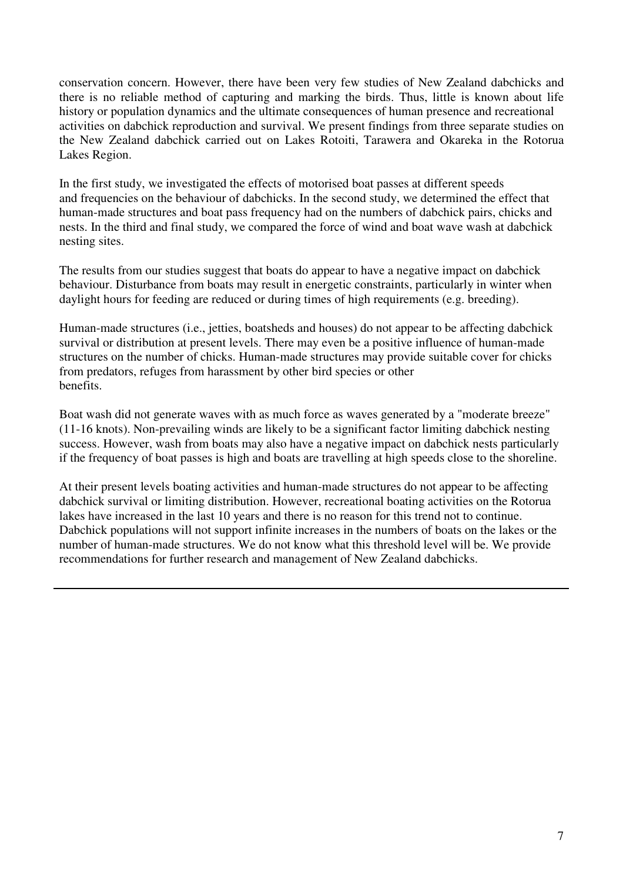conservation concern. However, there have been very few studies of New Zealand dabchicks and there is no reliable method of capturing and marking the birds. Thus, little is known about life history or population dynamics and the ultimate consequences of human presence and recreational activities on dabchick reproduction and survival. We present findings from three separate studies on the New Zealand dabchick carried out on Lakes Rotoiti, Tarawera and Okareka in the Rotorua Lakes Region.

In the first study, we investigated the effects of motorised boat passes at different speeds and frequencies on the behaviour of dabchicks. In the second study, we determined the effect that human-made structures and boat pass frequency had on the numbers of dabchick pairs, chicks and nests. In the third and final study, we compared the force of wind and boat wave wash at dabchick nesting sites.

The results from our studies suggest that boats do appear to have a negative impact on dabchick behaviour. Disturbance from boats may result in energetic constraints, particularly in winter when daylight hours for feeding are reduced or during times of high requirements (e.g. breeding).

Human-made structures (i.e., jetties, boatsheds and houses) do not appear to be affecting dabchick survival or distribution at present levels. There may even be a positive influence of human-made structures on the number of chicks. Human-made structures may provide suitable cover for chicks from predators, refuges from harassment by other bird species or other benefits.

Boat wash did not generate waves with as much force as waves generated by a "moderate breeze" (11-16 knots). Non-prevailing winds are likely to be a significant factor limiting dabchick nesting success. However, wash from boats may also have a negative impact on dabchick nests particularly if the frequency of boat passes is high and boats are travelling at high speeds close to the shoreline.

At their present levels boating activities and human-made structures do not appear to be affecting dabchick survival or limiting distribution. However, recreational boating activities on the Rotorua lakes have increased in the last 10 years and there is no reason for this trend not to continue. Dabchick populations will not support infinite increases in the numbers of boats on the lakes or the number of human-made structures. We do not know what this threshold level will be. We provide recommendations for further research and management of New Zealand dabchicks.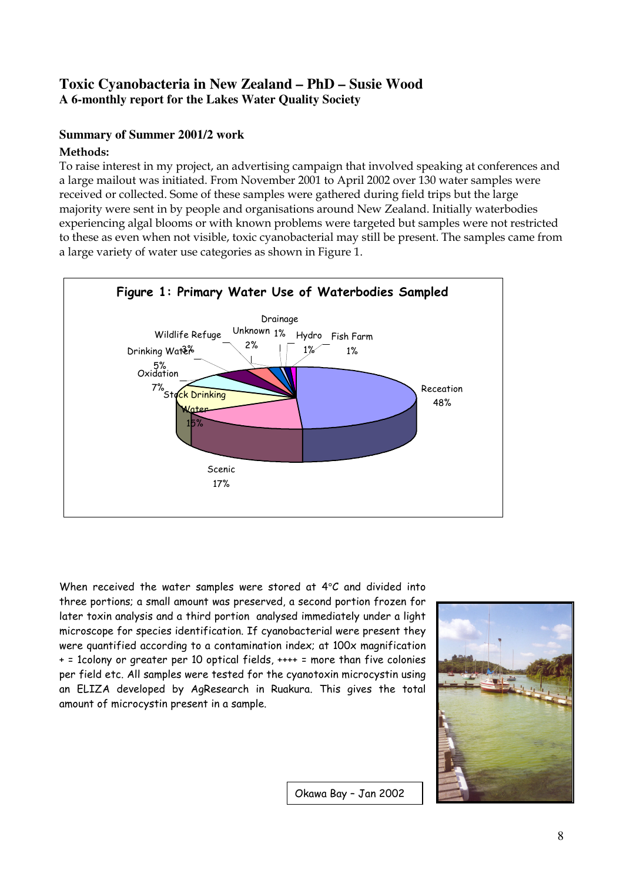# Toxic Cyanobacteria in New Zealand - PhD - Susie Wood A 6-monthly report for the Lakes Water Quality Society

# **Summary of Summer 2001/2 work**

# Methods:

To raise interest in my project, an advertising campaign that involved speaking at conferences and a large mailout was initiated. From November 2001 to April 2002 over 130 water samples were received or collected. Some of these samples were gathered during field trips but the large majority were sent in by people and organisations around New Zealand. Initially waterbodies experiencing algal blooms or with known problems were targeted but samples were not restricted to these as even when not visible, toxic cyanobacterial may still be present. The samples came from a large variety of water use categories as shown in Figure 1.



When received the water samples were stored at 4°C and divided into three portions; a small amount was preserved, a second portion frozen for later toxin analysis and a third portion analysed immediately under a light microscope for species identification. If cyanobacterial were present they were quantified according to a contamination index; at 100x magnification + = 1colony or greater per 10 optical fields, ++++ = more than five colonies per field etc. All samples were tested for the cyanotoxin microcystin using an ELIZA developed by AgResearch in Ruakura. This gives the total amount of microcystin present in a sample.



Okawa Bay - Jan 2002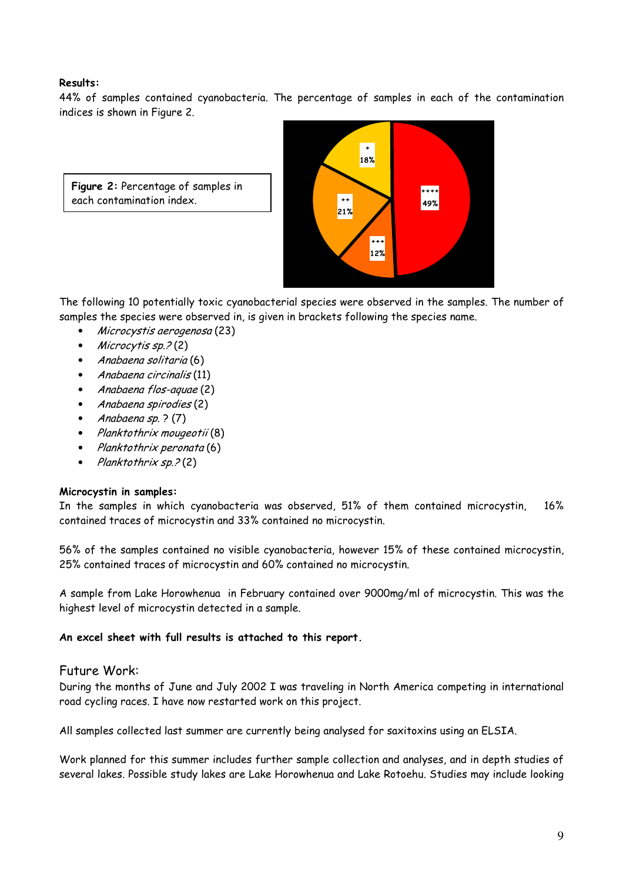# Results:

44% of samples contained cyanobacteria. The percentage of samples in each of the contamination indices is shown in Figure 2.

Figure 2: Percentage of samples in each contamination index.



The following 10 potentially toxic cyanobacterial species were observed in the samples. The number of samples the species were observed in, is given in brackets following the species name.

- Microcystis aerogenosa (23)  $\bullet$
- Microcytis  $sp.2(2)$
- · Anabaena solitaria (6)
- Anabaena circinalis (11)  $\bullet$
- Anabaena flos-aquae (2)
- Anabaena spirodies (2)
- Anabaena  $sp.$  ? (7)
- Planktothrix mougeotii (8)
- Planktothrix peronata (6)  $\bullet$
- $\bullet$ Planktothrix sp. ? (2)

# Microcystin in samples:

In the samples in which cyanobacteria was observed, 51% of them contained microcystin,  $16%$ contained traces of microcystin and 33% contained no microcystin.

56% of the samples contained no visible cyanobacteria, however 15% of these contained microcystin, 25% contained traces of microcystin and 60% contained no microcystin.

A sample from Lake Horowhenua in February contained over 9000mg/ml of microcystin. This was the highest level of microcystin detected in a sample.

# An excel sheet with full results is attached to this report.

# Future Work:

During the months of June and July 2002 I was traveling in North America competing in international road cycling races. I have now restarted work on this project.

All samples collected last summer are currently being analysed for saxitoxins using an ELSIA.

Work planned for this summer includes further sample collection and analyses, and in depth studies of several lakes. Possible study lakes are Lake Horowhenua and Lake Rotoehu. Studies may include looking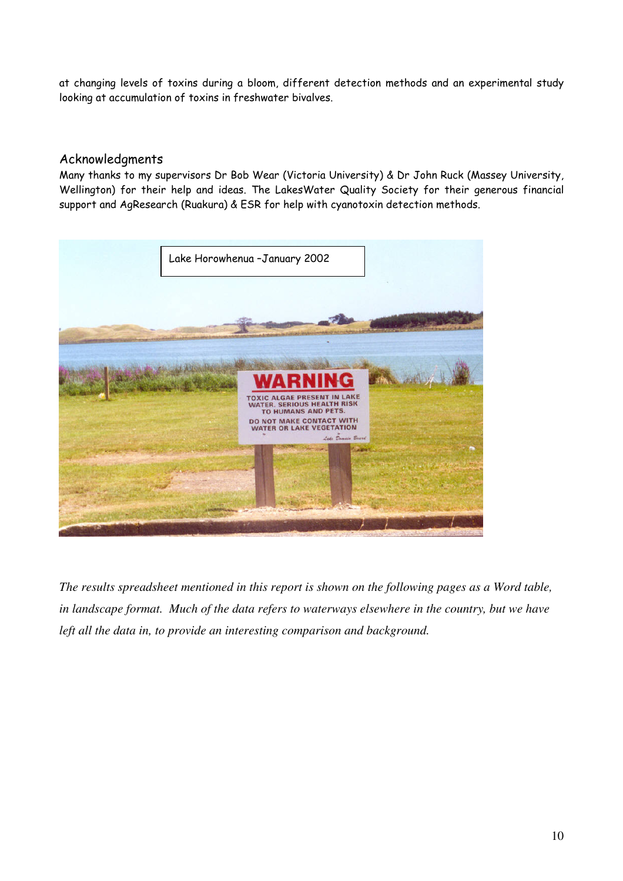at changing levels of toxins during a bloom, different detection methods and an experimental study looking at accumulation of toxins in freshwater bivalves.

# Acknowledgments

Many thanks to my supervisors Dr Bob Wear (Victoria University) & Dr John Ruck (Massey University, Wellington) for their help and ideas. The LakesWater Quality Society for their generous financial support and AgResearch (Ruakura) & ESR for help with cyanotoxin detection methods.



The results spreadsheet mentioned in this report is shown on the following pages as a Word table, in landscape format. Much of the data refers to waterways elsewhere in the country, but we have left all the data in, to provide an interesting comparison and background.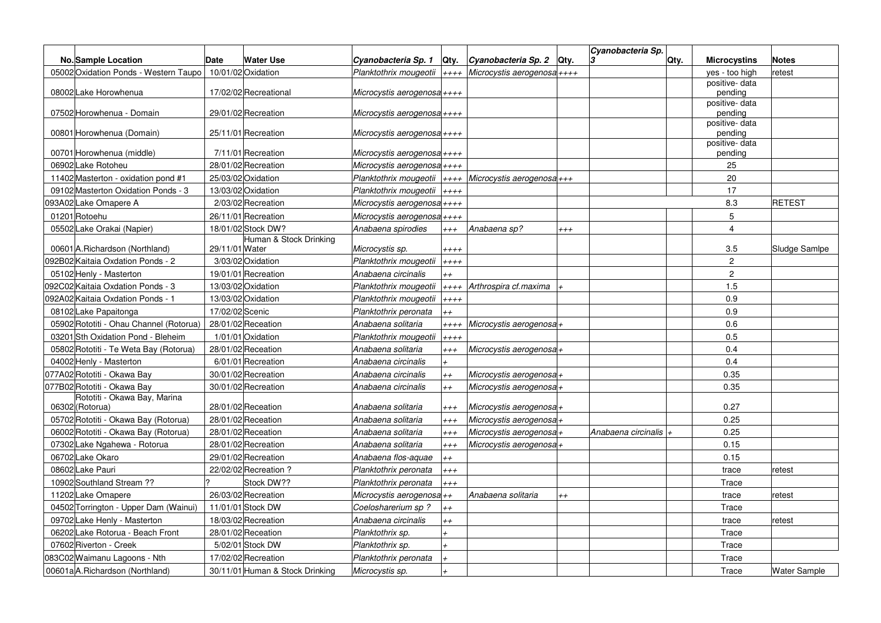|                                         |                 |                                 |                             |            |                                 |       | Cyanobacteria Sp.   |      |                          |                     |
|-----------------------------------------|-----------------|---------------------------------|-----------------------------|------------|---------------------------------|-------|---------------------|------|--------------------------|---------------------|
| <b>No.</b> Sample Location              | <b>Date</b>     | <b>Water Use</b>                | Cyanobacteria Sp. 1         | Qty.       | <i>Cyanobacteria Sp. 2</i> Qty. |       | 3                   | Qtv. | <b>Microcystins</b>      | <b>Notes</b>        |
| 05002 Oxidation Ponds - Western Taupo   |                 | 10/01/02 Oxidation              | Planktothrix mougeotii      | $++++$     | Microcystis aerogenosa $++++$   |       |                     |      | yes - too high           | retest              |
| 08002 Lake Horowhenua                   |                 | 17/02/02 Recreational           | Microcystis aerogenosa ++++ |            |                                 |       |                     |      | positive-data<br>pending |                     |
|                                         |                 |                                 |                             |            |                                 |       |                     |      | positive-data            |                     |
| 07502 Horowhenua - Domain               |                 | 29/01/02 Recreation             | Microcystis aerogenosa-     |            |                                 |       |                     |      | pending                  |                     |
|                                         |                 |                                 |                             |            |                                 |       |                     |      | positive-data            |                     |
| 00801 Horowhenua (Domain)               |                 | 25/11/01 Recreation             | Microcystis aerogenosa-     |            |                                 |       |                     |      | pendina                  |                     |
| 00701 Horowhenua (middle)               |                 | 7/11/01 Recreation              | Microcystis aerogenosa-     |            |                                 |       |                     |      | positive-data<br>pending |                     |
| 06902 Lake Rotoheu                      |                 | 28/01/02 Recreation             | Microcystis aerogenosa ++++ |            |                                 |       |                     |      | 25                       |                     |
| 11402 Masterton - oxidation pond #1     |                 | 25/03/02 Oxidation              | Planktothrix mougeotii      | $++++$     | Microcystis aerogenosa+++       |       |                     |      | 20                       |                     |
| 09102 Masterton Oxidation Ponds - 3     |                 | 13/03/02 Oxidation              | Planktothrix mougeotii      | $++++$     |                                 |       |                     |      | 17                       |                     |
| 093A02 Lake Omapere A                   |                 | 2/03/02 Recreation              | Microcystis aerogenosa-     |            |                                 |       |                     |      | 8.3                      | <b>RETEST</b>       |
| 01201 Rotoehu                           |                 | 26/11/01 Recreation             | Microcystis aerogenosa ++++ |            |                                 |       |                     |      | 5                        |                     |
| 05502 Lake Orakai (Napier)              |                 | 18/01/02 Stock DW?              | Anabaena spirodies          | $+ + +$    | Anabaena sp?                    | $+++$ |                     |      | $\overline{4}$           |                     |
|                                         |                 | Human & Stock Drinking          |                             |            |                                 |       |                     |      |                          |                     |
| 00601 A.Richardson (Northland)          | 29/11/01 Water  |                                 | Microcystis sp.             | $++++$     |                                 |       |                     |      | 3.5                      | Sludge Samlpe       |
| 092B02 Kaitaia Oxdation Ponds - 2       |                 | 3/03/02 Oxidation               | Planktothrix mougeotii      | $++++$     |                                 |       |                     |      | $\overline{c}$           |                     |
| 05102 Henly - Masterton                 |                 | 19/01/01 Recreation             | Anabaena circinalis         | $++$       |                                 |       |                     |      | $\overline{c}$           |                     |
| 092C02 Kaitaia Oxdation Ponds - 3       |                 | 13/03/02 Oxidation              | Planktothrix mougeotii      | $++++$     | Arthrospira cf.maxima           |       |                     |      | 1.5                      |                     |
| 092A02 Kaitaia Oxdation Ponds - 1       |                 | 13/03/02 Oxidation              | Planktothrix mougeotii      | $++++$     |                                 |       |                     |      | 0.9                      |                     |
| 08102 Lake Papaitonga                   | 17/02/02 Scenic |                                 | Planktothrix peronata       | $+ +$      |                                 |       |                     |      | 0.9                      |                     |
| 05902 Rototiti - Ohau Channel (Rotorua) |                 | 28/01/02 Receation              | Anabaena solitaria          | $***$      | Microcystis aerogenosa+         |       |                     |      | 0.6                      |                     |
| 03201 Sth Oxidation Pond - Bleheim      |                 | 1/01/01 Oxidation               | Planktothrix mougeotii      | $++++$     |                                 |       |                     |      | 0.5                      |                     |
| 05802 Rototiti - Te Weta Bay (Rotorua)  |                 | 28/01/02 Receation              | Anabaena solitaria          | $^{+++}$   | Microcystis aerogenosa+         |       |                     |      | 0.4                      |                     |
| 04002 Henly - Masterton                 |                 | 6/01/01 Recreation              | Anabaena circinalis         |            |                                 |       |                     |      | 0.4                      |                     |
| 077A02 Rototiti - Okawa Bay             |                 | 30/01/02 Recreation             | Anabaena circinalis         | $++$       | Microcystis aerogenosa+         |       |                     |      | 0.35                     |                     |
| 077B02 Rototiti - Okawa Bay             |                 | 30/01/02 Recreation             | Anabaena circinalis         | $^{++}$    | Microcystis aerogenosa          |       |                     |      | 0.35                     |                     |
| Rototiti - Okawa Bay, Marina            |                 |                                 |                             |            |                                 |       |                     |      |                          |                     |
| 06302 (Rotorua)                         |                 | 28/01/02 Receation              | Anabaena solitaria          | $^{+++}$   | Microcystis aerogenosa+         |       |                     |      | 0.27                     |                     |
| 05702 Rototiti - Okawa Bay (Rotorua)    |                 | 28/01/02 Receation              | Anabaena solitaria          | $^{++}$    | Microcystis aerogenosa+         |       |                     |      | 0.25                     |                     |
| 06002 Rototiti - Okawa Bay (Rotorua)    |                 | 28/01/02 Receation              | Anabaena solitaria          | $^{++}$    | Microcystis aerogenosa+         |       | Anabaena circinalis |      | 0.25                     |                     |
| 07302 Lake Ngahewa - Rotorua            |                 | 28/01/02 Recreation             | Anabaena solitaria          | $^{++}$    | Microcystis aerogenosa +        |       |                     |      | 0.15                     |                     |
| 06702 Lake Okaro                        |                 | 29/01/02 Recreation             | Anabaena flos-aquae         | $++$       |                                 |       |                     |      | 0.15                     |                     |
| 08602 Lake Pauri                        |                 | 22/02/02 Recreation ?           | Planktothrix peronata       | $^{\ddag}$ |                                 |       |                     |      | trace                    | retest              |
| 10902 Southland Stream ??               |                 | Stock DW??                      | Planktothrix peronata       | $^{+++}$   |                                 |       |                     |      | Trace                    |                     |
| 11202 Lake Omapere                      |                 | 26/03/02 Recreation             | Microcystis aerogenosa++    |            | Anabaena solitaria              | $++$  |                     |      | trace                    | retest              |
| 04502 Torrington - Upper Dam (Wainui)   |                 | 11/01/01 Stock DW               | Coelosharerium sp ?         | $++$       |                                 |       |                     |      | Trace                    |                     |
| 09702 Lake Henly - Masterton            |                 | 18/03/02 Recreation             | Anabaena circinalis         | $++$       |                                 |       |                     |      | trace                    | retest              |
| 06202 Lake Rotorua - Beach Front        |                 | 28/01/02 Receation              | Planktothrix sp.            |            |                                 |       |                     |      | Trace                    |                     |
| 07602 Riverton - Creek                  |                 | 5/02/01 Stock DW                | Planktothrix sp.            |            |                                 |       |                     |      | Trace                    |                     |
| 083C02 Waimanu Lagoons - Nth            |                 | 17/02/02 Recreation             | Planktothrix peronata       |            |                                 |       |                     |      | Trace                    |                     |
| 00601aA.Richardson (Northland)          |                 | 30/11/01 Human & Stock Drinking | Microcystis sp.             |            |                                 |       |                     |      | Trace                    | <b>Water Sample</b> |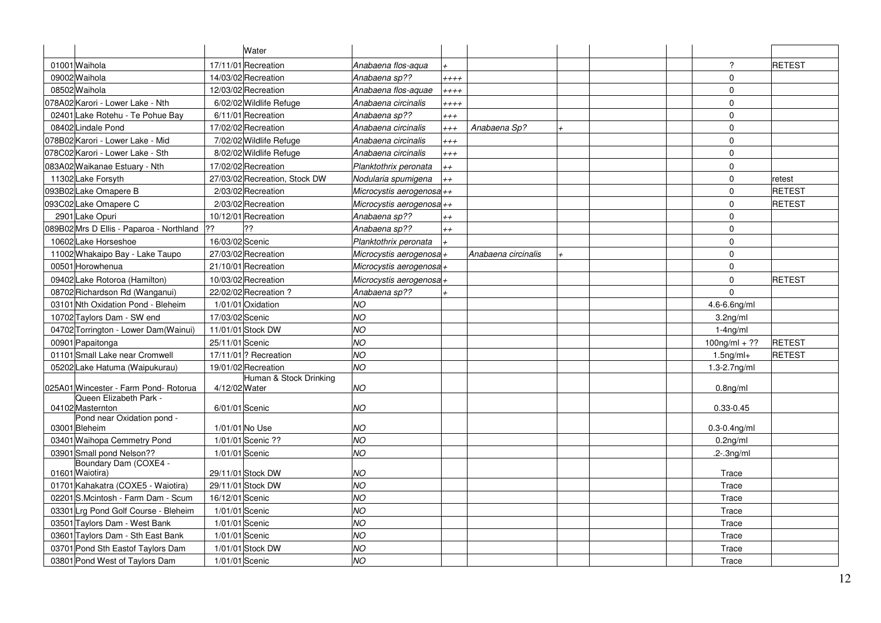| $\overline{?}$<br>01001 Waihola<br>17/11/01 Recreation<br>RETEST<br>Anabaena flos-aqua<br>$\mathbf 0$<br>09002 Waihola<br>14/03/02 Recreation<br>Anabaena sp??<br>$***$<br>08502 Waihola<br>12/03/02 Recreation<br>$\mathbf 0$<br>Anabaena flos-aquae<br>$++++$<br>078A02 Karori - Lower Lake - Nth<br>$\mathbf 0$<br>6/02/02 Wildlife Refuge<br>Anabaena circinalis<br>$***$<br>$\mathbf 0$<br>02401 Lake Rotehu - Te Pohue Bay<br>6/11/01 Recreation<br>Anabaena sp??<br>$^{\ddag}$<br>17/02/02 Recreation<br>$\mathbf 0$<br>08402Lindale Pond<br>Anabaena circinalis<br>Anabaena Sp?<br>$^{+++}$<br>$\mathbf 0$<br>078B02 Karori - Lower Lake - Mid<br>7/02/02 Wildlife Refuge<br>Anabaena circinalis<br>$^{+++}$<br>078C02 Karori - Lower Lake - Sth<br>8/02/02 Wildlife Refuge<br>Anabaena circinalis<br>$\mathbf 0$<br>$^{++}$<br>$\mathbf 0$<br>083A02 Waikanae Estuary - Nth<br>17/02/02 Recreation<br>Planktothrix peronata<br>$++$<br>11302 Lake Forsyth<br>27/03/02 Recreation, Stock DW<br>$\mathbf 0$<br>Nodularia spumigena<br>retest<br>$^{++}$<br>$\mathbf 0$<br>RETEST<br>093B02 Lake Omapere B<br>2/03/02 Recreation<br>Microcystis aerogenosa-++<br>$\mathbf 0$<br>093C02 Lake Omapere C<br>2/03/02 Recreation<br>RETEST<br>Microcystis aerogenosa++<br>2901 Lake Opuri<br>10/12/01 Recreation<br>Anabaena sp??<br>$\Omega$<br>$++$<br>??<br>089B02 Mrs D Ellis - Paparoa - Northland<br>22<br>$\mathbf 0$<br>Anabaena sp??<br>$++$<br>16/03/02 Scenic<br>$\mathbf 0$<br>10602 Lake Horseshoe<br>Planktothrix peronata<br>11002 Whakaipo Bay - Lake Taupo<br>$\mathbf 0$<br>27/03/02 Recreation<br>Microcystis aerogenosa+<br>Anabaena circinalis<br>$\mathbf 0$<br>00501 Horowhenua<br>21/10/01 Recreation<br>Microcystis aerogenosa+<br>RETEST<br>09402 Lake Rotoroa (Hamilton)<br>10/03/02 Recreation<br>Microcystis aerogenosa<br>$\mathbf 0$<br>08702 Richardson Rd (Wanganui)<br>22/02/02 Recreation ?<br>Anabaena sp??<br>$\Omega$<br>03101 Nth Oxidation Pond - Bleheim<br>1/01/01 Oxidation<br>NO<br>$4.6 - 6.6$ ng/ml<br><b>NO</b><br>10702 Taylors Dam - SW end<br>17/03/02 Scenic<br>3.2 <sub>ng/ml</sub><br><b>NO</b><br>04702 Torrington - Lower Dam(Wainui)<br>11/01/01 Stock DW<br>$1-4ng/ml$<br><b>NO</b><br><b>RETEST</b><br>00901 Papaitonga<br>25/11/01 Scenic<br>$100$ ng/ml + ??<br>NO<br>01101 Small Lake near Cromwell<br>17/11/01 ? Recreation<br>RETEST<br>$1.5$ ng/m $I+$<br>NO<br>05202 Lake Hatuma (Waipukurau)<br>19/01/02 Recreation<br>$1.3 - 2.7$ ng/ml<br>Human & Stock Drinking<br>025A01 Wincester - Farm Pond- Rotorua<br>4/12/02 Water<br><b>NO</b><br>0.8 <sub>ng</sub> /ml<br>Queen Elizabeth Park -<br>6/01/01 Scenic<br>NO<br>$0.33 - 0.45$<br>04102 Masternton<br>Pond near Oxidation pond -<br>1/01/01 No Use<br><b>NO</b><br>03001 Bleheim<br>0.3-0.4ng/ml<br>03401 Waihopa Cemmetry Pond<br>1/01/01 Scenic ??<br><b>NO</b><br>0.2 <sub>ng/ml</sub><br><b>NO</b><br>03901 Small pond Nelson??<br>1/01/01 Scenic<br>$.2 - 3$ ng/ml<br>Boundary Dam (COXE4 -<br>01601 Waiotira)<br>29/11/01 Stock DW<br>NO<br>Trace<br><b>NO</b><br>29/11/01 Stock DW<br>01701 Kahakatra (COXE5 - Waiotira)<br>Trace<br><b>NO</b><br>02201 S.Mcintosh - Farm Dam - Scum<br>16/12/01 Scenic<br>Trace<br><b>NO</b><br>03301 Lrg Pond Golf Course - Bleheim<br>1/01/01 Scenic<br>Trace<br>1/01/01 Scenic |                               | Water |           |  |  |       |  |
|-----------------------------------------------------------------------------------------------------------------------------------------------------------------------------------------------------------------------------------------------------------------------------------------------------------------------------------------------------------------------------------------------------------------------------------------------------------------------------------------------------------------------------------------------------------------------------------------------------------------------------------------------------------------------------------------------------------------------------------------------------------------------------------------------------------------------------------------------------------------------------------------------------------------------------------------------------------------------------------------------------------------------------------------------------------------------------------------------------------------------------------------------------------------------------------------------------------------------------------------------------------------------------------------------------------------------------------------------------------------------------------------------------------------------------------------------------------------------------------------------------------------------------------------------------------------------------------------------------------------------------------------------------------------------------------------------------------------------------------------------------------------------------------------------------------------------------------------------------------------------------------------------------------------------------------------------------------------------------------------------------------------------------------------------------------------------------------------------------------------------------------------------------------------------------------------------------------------------------------------------------------------------------------------------------------------------------------------------------------------------------------------------------------------------------------------------------------------------------------------------------------------------------------------------------------------------------------------------------------------------------------------------------------------------------------------------------------------------------------------------------------------------------------------------------------------------------------------------------------------------------------------------------------------------------------------------------------------------------------------------------------------------------------------------------------------------------------------------------------------------------------------------------------------------------------------------------------------------------------------------------------------------------------------------------------------------------------------------------|-------------------------------|-------|-----------|--|--|-------|--|
|                                                                                                                                                                                                                                                                                                                                                                                                                                                                                                                                                                                                                                                                                                                                                                                                                                                                                                                                                                                                                                                                                                                                                                                                                                                                                                                                                                                                                                                                                                                                                                                                                                                                                                                                                                                                                                                                                                                                                                                                                                                                                                                                                                                                                                                                                                                                                                                                                                                                                                                                                                                                                                                                                                                                                                                                                                                                                                                                                                                                                                                                                                                                                                                                                                                                                                                                                     |                               |       |           |  |  |       |  |
|                                                                                                                                                                                                                                                                                                                                                                                                                                                                                                                                                                                                                                                                                                                                                                                                                                                                                                                                                                                                                                                                                                                                                                                                                                                                                                                                                                                                                                                                                                                                                                                                                                                                                                                                                                                                                                                                                                                                                                                                                                                                                                                                                                                                                                                                                                                                                                                                                                                                                                                                                                                                                                                                                                                                                                                                                                                                                                                                                                                                                                                                                                                                                                                                                                                                                                                                                     |                               |       |           |  |  |       |  |
|                                                                                                                                                                                                                                                                                                                                                                                                                                                                                                                                                                                                                                                                                                                                                                                                                                                                                                                                                                                                                                                                                                                                                                                                                                                                                                                                                                                                                                                                                                                                                                                                                                                                                                                                                                                                                                                                                                                                                                                                                                                                                                                                                                                                                                                                                                                                                                                                                                                                                                                                                                                                                                                                                                                                                                                                                                                                                                                                                                                                                                                                                                                                                                                                                                                                                                                                                     |                               |       |           |  |  |       |  |
|                                                                                                                                                                                                                                                                                                                                                                                                                                                                                                                                                                                                                                                                                                                                                                                                                                                                                                                                                                                                                                                                                                                                                                                                                                                                                                                                                                                                                                                                                                                                                                                                                                                                                                                                                                                                                                                                                                                                                                                                                                                                                                                                                                                                                                                                                                                                                                                                                                                                                                                                                                                                                                                                                                                                                                                                                                                                                                                                                                                                                                                                                                                                                                                                                                                                                                                                                     |                               |       |           |  |  |       |  |
|                                                                                                                                                                                                                                                                                                                                                                                                                                                                                                                                                                                                                                                                                                                                                                                                                                                                                                                                                                                                                                                                                                                                                                                                                                                                                                                                                                                                                                                                                                                                                                                                                                                                                                                                                                                                                                                                                                                                                                                                                                                                                                                                                                                                                                                                                                                                                                                                                                                                                                                                                                                                                                                                                                                                                                                                                                                                                                                                                                                                                                                                                                                                                                                                                                                                                                                                                     |                               |       |           |  |  |       |  |
|                                                                                                                                                                                                                                                                                                                                                                                                                                                                                                                                                                                                                                                                                                                                                                                                                                                                                                                                                                                                                                                                                                                                                                                                                                                                                                                                                                                                                                                                                                                                                                                                                                                                                                                                                                                                                                                                                                                                                                                                                                                                                                                                                                                                                                                                                                                                                                                                                                                                                                                                                                                                                                                                                                                                                                                                                                                                                                                                                                                                                                                                                                                                                                                                                                                                                                                                                     |                               |       |           |  |  |       |  |
|                                                                                                                                                                                                                                                                                                                                                                                                                                                                                                                                                                                                                                                                                                                                                                                                                                                                                                                                                                                                                                                                                                                                                                                                                                                                                                                                                                                                                                                                                                                                                                                                                                                                                                                                                                                                                                                                                                                                                                                                                                                                                                                                                                                                                                                                                                                                                                                                                                                                                                                                                                                                                                                                                                                                                                                                                                                                                                                                                                                                                                                                                                                                                                                                                                                                                                                                                     |                               |       |           |  |  |       |  |
|                                                                                                                                                                                                                                                                                                                                                                                                                                                                                                                                                                                                                                                                                                                                                                                                                                                                                                                                                                                                                                                                                                                                                                                                                                                                                                                                                                                                                                                                                                                                                                                                                                                                                                                                                                                                                                                                                                                                                                                                                                                                                                                                                                                                                                                                                                                                                                                                                                                                                                                                                                                                                                                                                                                                                                                                                                                                                                                                                                                                                                                                                                                                                                                                                                                                                                                                                     |                               |       |           |  |  |       |  |
|                                                                                                                                                                                                                                                                                                                                                                                                                                                                                                                                                                                                                                                                                                                                                                                                                                                                                                                                                                                                                                                                                                                                                                                                                                                                                                                                                                                                                                                                                                                                                                                                                                                                                                                                                                                                                                                                                                                                                                                                                                                                                                                                                                                                                                                                                                                                                                                                                                                                                                                                                                                                                                                                                                                                                                                                                                                                                                                                                                                                                                                                                                                                                                                                                                                                                                                                                     |                               |       |           |  |  |       |  |
|                                                                                                                                                                                                                                                                                                                                                                                                                                                                                                                                                                                                                                                                                                                                                                                                                                                                                                                                                                                                                                                                                                                                                                                                                                                                                                                                                                                                                                                                                                                                                                                                                                                                                                                                                                                                                                                                                                                                                                                                                                                                                                                                                                                                                                                                                                                                                                                                                                                                                                                                                                                                                                                                                                                                                                                                                                                                                                                                                                                                                                                                                                                                                                                                                                                                                                                                                     |                               |       |           |  |  |       |  |
|                                                                                                                                                                                                                                                                                                                                                                                                                                                                                                                                                                                                                                                                                                                                                                                                                                                                                                                                                                                                                                                                                                                                                                                                                                                                                                                                                                                                                                                                                                                                                                                                                                                                                                                                                                                                                                                                                                                                                                                                                                                                                                                                                                                                                                                                                                                                                                                                                                                                                                                                                                                                                                                                                                                                                                                                                                                                                                                                                                                                                                                                                                                                                                                                                                                                                                                                                     |                               |       |           |  |  |       |  |
|                                                                                                                                                                                                                                                                                                                                                                                                                                                                                                                                                                                                                                                                                                                                                                                                                                                                                                                                                                                                                                                                                                                                                                                                                                                                                                                                                                                                                                                                                                                                                                                                                                                                                                                                                                                                                                                                                                                                                                                                                                                                                                                                                                                                                                                                                                                                                                                                                                                                                                                                                                                                                                                                                                                                                                                                                                                                                                                                                                                                                                                                                                                                                                                                                                                                                                                                                     |                               |       |           |  |  |       |  |
|                                                                                                                                                                                                                                                                                                                                                                                                                                                                                                                                                                                                                                                                                                                                                                                                                                                                                                                                                                                                                                                                                                                                                                                                                                                                                                                                                                                                                                                                                                                                                                                                                                                                                                                                                                                                                                                                                                                                                                                                                                                                                                                                                                                                                                                                                                                                                                                                                                                                                                                                                                                                                                                                                                                                                                                                                                                                                                                                                                                                                                                                                                                                                                                                                                                                                                                                                     |                               |       |           |  |  |       |  |
|                                                                                                                                                                                                                                                                                                                                                                                                                                                                                                                                                                                                                                                                                                                                                                                                                                                                                                                                                                                                                                                                                                                                                                                                                                                                                                                                                                                                                                                                                                                                                                                                                                                                                                                                                                                                                                                                                                                                                                                                                                                                                                                                                                                                                                                                                                                                                                                                                                                                                                                                                                                                                                                                                                                                                                                                                                                                                                                                                                                                                                                                                                                                                                                                                                                                                                                                                     |                               |       |           |  |  |       |  |
|                                                                                                                                                                                                                                                                                                                                                                                                                                                                                                                                                                                                                                                                                                                                                                                                                                                                                                                                                                                                                                                                                                                                                                                                                                                                                                                                                                                                                                                                                                                                                                                                                                                                                                                                                                                                                                                                                                                                                                                                                                                                                                                                                                                                                                                                                                                                                                                                                                                                                                                                                                                                                                                                                                                                                                                                                                                                                                                                                                                                                                                                                                                                                                                                                                                                                                                                                     |                               |       |           |  |  |       |  |
|                                                                                                                                                                                                                                                                                                                                                                                                                                                                                                                                                                                                                                                                                                                                                                                                                                                                                                                                                                                                                                                                                                                                                                                                                                                                                                                                                                                                                                                                                                                                                                                                                                                                                                                                                                                                                                                                                                                                                                                                                                                                                                                                                                                                                                                                                                                                                                                                                                                                                                                                                                                                                                                                                                                                                                                                                                                                                                                                                                                                                                                                                                                                                                                                                                                                                                                                                     |                               |       |           |  |  |       |  |
|                                                                                                                                                                                                                                                                                                                                                                                                                                                                                                                                                                                                                                                                                                                                                                                                                                                                                                                                                                                                                                                                                                                                                                                                                                                                                                                                                                                                                                                                                                                                                                                                                                                                                                                                                                                                                                                                                                                                                                                                                                                                                                                                                                                                                                                                                                                                                                                                                                                                                                                                                                                                                                                                                                                                                                                                                                                                                                                                                                                                                                                                                                                                                                                                                                                                                                                                                     |                               |       |           |  |  |       |  |
|                                                                                                                                                                                                                                                                                                                                                                                                                                                                                                                                                                                                                                                                                                                                                                                                                                                                                                                                                                                                                                                                                                                                                                                                                                                                                                                                                                                                                                                                                                                                                                                                                                                                                                                                                                                                                                                                                                                                                                                                                                                                                                                                                                                                                                                                                                                                                                                                                                                                                                                                                                                                                                                                                                                                                                                                                                                                                                                                                                                                                                                                                                                                                                                                                                                                                                                                                     |                               |       |           |  |  |       |  |
|                                                                                                                                                                                                                                                                                                                                                                                                                                                                                                                                                                                                                                                                                                                                                                                                                                                                                                                                                                                                                                                                                                                                                                                                                                                                                                                                                                                                                                                                                                                                                                                                                                                                                                                                                                                                                                                                                                                                                                                                                                                                                                                                                                                                                                                                                                                                                                                                                                                                                                                                                                                                                                                                                                                                                                                                                                                                                                                                                                                                                                                                                                                                                                                                                                                                                                                                                     |                               |       |           |  |  |       |  |
|                                                                                                                                                                                                                                                                                                                                                                                                                                                                                                                                                                                                                                                                                                                                                                                                                                                                                                                                                                                                                                                                                                                                                                                                                                                                                                                                                                                                                                                                                                                                                                                                                                                                                                                                                                                                                                                                                                                                                                                                                                                                                                                                                                                                                                                                                                                                                                                                                                                                                                                                                                                                                                                                                                                                                                                                                                                                                                                                                                                                                                                                                                                                                                                                                                                                                                                                                     |                               |       |           |  |  |       |  |
|                                                                                                                                                                                                                                                                                                                                                                                                                                                                                                                                                                                                                                                                                                                                                                                                                                                                                                                                                                                                                                                                                                                                                                                                                                                                                                                                                                                                                                                                                                                                                                                                                                                                                                                                                                                                                                                                                                                                                                                                                                                                                                                                                                                                                                                                                                                                                                                                                                                                                                                                                                                                                                                                                                                                                                                                                                                                                                                                                                                                                                                                                                                                                                                                                                                                                                                                                     |                               |       |           |  |  |       |  |
|                                                                                                                                                                                                                                                                                                                                                                                                                                                                                                                                                                                                                                                                                                                                                                                                                                                                                                                                                                                                                                                                                                                                                                                                                                                                                                                                                                                                                                                                                                                                                                                                                                                                                                                                                                                                                                                                                                                                                                                                                                                                                                                                                                                                                                                                                                                                                                                                                                                                                                                                                                                                                                                                                                                                                                                                                                                                                                                                                                                                                                                                                                                                                                                                                                                                                                                                                     |                               |       |           |  |  |       |  |
|                                                                                                                                                                                                                                                                                                                                                                                                                                                                                                                                                                                                                                                                                                                                                                                                                                                                                                                                                                                                                                                                                                                                                                                                                                                                                                                                                                                                                                                                                                                                                                                                                                                                                                                                                                                                                                                                                                                                                                                                                                                                                                                                                                                                                                                                                                                                                                                                                                                                                                                                                                                                                                                                                                                                                                                                                                                                                                                                                                                                                                                                                                                                                                                                                                                                                                                                                     |                               |       |           |  |  |       |  |
|                                                                                                                                                                                                                                                                                                                                                                                                                                                                                                                                                                                                                                                                                                                                                                                                                                                                                                                                                                                                                                                                                                                                                                                                                                                                                                                                                                                                                                                                                                                                                                                                                                                                                                                                                                                                                                                                                                                                                                                                                                                                                                                                                                                                                                                                                                                                                                                                                                                                                                                                                                                                                                                                                                                                                                                                                                                                                                                                                                                                                                                                                                                                                                                                                                                                                                                                                     |                               |       |           |  |  |       |  |
|                                                                                                                                                                                                                                                                                                                                                                                                                                                                                                                                                                                                                                                                                                                                                                                                                                                                                                                                                                                                                                                                                                                                                                                                                                                                                                                                                                                                                                                                                                                                                                                                                                                                                                                                                                                                                                                                                                                                                                                                                                                                                                                                                                                                                                                                                                                                                                                                                                                                                                                                                                                                                                                                                                                                                                                                                                                                                                                                                                                                                                                                                                                                                                                                                                                                                                                                                     |                               |       |           |  |  |       |  |
|                                                                                                                                                                                                                                                                                                                                                                                                                                                                                                                                                                                                                                                                                                                                                                                                                                                                                                                                                                                                                                                                                                                                                                                                                                                                                                                                                                                                                                                                                                                                                                                                                                                                                                                                                                                                                                                                                                                                                                                                                                                                                                                                                                                                                                                                                                                                                                                                                                                                                                                                                                                                                                                                                                                                                                                                                                                                                                                                                                                                                                                                                                                                                                                                                                                                                                                                                     |                               |       |           |  |  |       |  |
|                                                                                                                                                                                                                                                                                                                                                                                                                                                                                                                                                                                                                                                                                                                                                                                                                                                                                                                                                                                                                                                                                                                                                                                                                                                                                                                                                                                                                                                                                                                                                                                                                                                                                                                                                                                                                                                                                                                                                                                                                                                                                                                                                                                                                                                                                                                                                                                                                                                                                                                                                                                                                                                                                                                                                                                                                                                                                                                                                                                                                                                                                                                                                                                                                                                                                                                                                     |                               |       |           |  |  |       |  |
|                                                                                                                                                                                                                                                                                                                                                                                                                                                                                                                                                                                                                                                                                                                                                                                                                                                                                                                                                                                                                                                                                                                                                                                                                                                                                                                                                                                                                                                                                                                                                                                                                                                                                                                                                                                                                                                                                                                                                                                                                                                                                                                                                                                                                                                                                                                                                                                                                                                                                                                                                                                                                                                                                                                                                                                                                                                                                                                                                                                                                                                                                                                                                                                                                                                                                                                                                     |                               |       |           |  |  |       |  |
|                                                                                                                                                                                                                                                                                                                                                                                                                                                                                                                                                                                                                                                                                                                                                                                                                                                                                                                                                                                                                                                                                                                                                                                                                                                                                                                                                                                                                                                                                                                                                                                                                                                                                                                                                                                                                                                                                                                                                                                                                                                                                                                                                                                                                                                                                                                                                                                                                                                                                                                                                                                                                                                                                                                                                                                                                                                                                                                                                                                                                                                                                                                                                                                                                                                                                                                                                     |                               |       |           |  |  |       |  |
|                                                                                                                                                                                                                                                                                                                                                                                                                                                                                                                                                                                                                                                                                                                                                                                                                                                                                                                                                                                                                                                                                                                                                                                                                                                                                                                                                                                                                                                                                                                                                                                                                                                                                                                                                                                                                                                                                                                                                                                                                                                                                                                                                                                                                                                                                                                                                                                                                                                                                                                                                                                                                                                                                                                                                                                                                                                                                                                                                                                                                                                                                                                                                                                                                                                                                                                                                     |                               |       |           |  |  |       |  |
|                                                                                                                                                                                                                                                                                                                                                                                                                                                                                                                                                                                                                                                                                                                                                                                                                                                                                                                                                                                                                                                                                                                                                                                                                                                                                                                                                                                                                                                                                                                                                                                                                                                                                                                                                                                                                                                                                                                                                                                                                                                                                                                                                                                                                                                                                                                                                                                                                                                                                                                                                                                                                                                                                                                                                                                                                                                                                                                                                                                                                                                                                                                                                                                                                                                                                                                                                     |                               |       |           |  |  |       |  |
|                                                                                                                                                                                                                                                                                                                                                                                                                                                                                                                                                                                                                                                                                                                                                                                                                                                                                                                                                                                                                                                                                                                                                                                                                                                                                                                                                                                                                                                                                                                                                                                                                                                                                                                                                                                                                                                                                                                                                                                                                                                                                                                                                                                                                                                                                                                                                                                                                                                                                                                                                                                                                                                                                                                                                                                                                                                                                                                                                                                                                                                                                                                                                                                                                                                                                                                                                     |                               |       |           |  |  |       |  |
|                                                                                                                                                                                                                                                                                                                                                                                                                                                                                                                                                                                                                                                                                                                                                                                                                                                                                                                                                                                                                                                                                                                                                                                                                                                                                                                                                                                                                                                                                                                                                                                                                                                                                                                                                                                                                                                                                                                                                                                                                                                                                                                                                                                                                                                                                                                                                                                                                                                                                                                                                                                                                                                                                                                                                                                                                                                                                                                                                                                                                                                                                                                                                                                                                                                                                                                                                     |                               |       |           |  |  |       |  |
|                                                                                                                                                                                                                                                                                                                                                                                                                                                                                                                                                                                                                                                                                                                                                                                                                                                                                                                                                                                                                                                                                                                                                                                                                                                                                                                                                                                                                                                                                                                                                                                                                                                                                                                                                                                                                                                                                                                                                                                                                                                                                                                                                                                                                                                                                                                                                                                                                                                                                                                                                                                                                                                                                                                                                                                                                                                                                                                                                                                                                                                                                                                                                                                                                                                                                                                                                     |                               |       |           |  |  |       |  |
|                                                                                                                                                                                                                                                                                                                                                                                                                                                                                                                                                                                                                                                                                                                                                                                                                                                                                                                                                                                                                                                                                                                                                                                                                                                                                                                                                                                                                                                                                                                                                                                                                                                                                                                                                                                                                                                                                                                                                                                                                                                                                                                                                                                                                                                                                                                                                                                                                                                                                                                                                                                                                                                                                                                                                                                                                                                                                                                                                                                                                                                                                                                                                                                                                                                                                                                                                     |                               |       |           |  |  |       |  |
|                                                                                                                                                                                                                                                                                                                                                                                                                                                                                                                                                                                                                                                                                                                                                                                                                                                                                                                                                                                                                                                                                                                                                                                                                                                                                                                                                                                                                                                                                                                                                                                                                                                                                                                                                                                                                                                                                                                                                                                                                                                                                                                                                                                                                                                                                                                                                                                                                                                                                                                                                                                                                                                                                                                                                                                                                                                                                                                                                                                                                                                                                                                                                                                                                                                                                                                                                     |                               |       |           |  |  |       |  |
|                                                                                                                                                                                                                                                                                                                                                                                                                                                                                                                                                                                                                                                                                                                                                                                                                                                                                                                                                                                                                                                                                                                                                                                                                                                                                                                                                                                                                                                                                                                                                                                                                                                                                                                                                                                                                                                                                                                                                                                                                                                                                                                                                                                                                                                                                                                                                                                                                                                                                                                                                                                                                                                                                                                                                                                                                                                                                                                                                                                                                                                                                                                                                                                                                                                                                                                                                     | 03501 Taylors Dam - West Bank |       | <b>NO</b> |  |  | Trace |  |
| NO<br>03601 Taylors Dam - Sth East Bank<br>1/01/01 Scenic<br>Trace                                                                                                                                                                                                                                                                                                                                                                                                                                                                                                                                                                                                                                                                                                                                                                                                                                                                                                                                                                                                                                                                                                                                                                                                                                                                                                                                                                                                                                                                                                                                                                                                                                                                                                                                                                                                                                                                                                                                                                                                                                                                                                                                                                                                                                                                                                                                                                                                                                                                                                                                                                                                                                                                                                                                                                                                                                                                                                                                                                                                                                                                                                                                                                                                                                                                                  |                               |       |           |  |  |       |  |
| NO<br>Trace<br>03701 Pond Sth Eastof Taylors Dam<br>1/01/01 Stock DW                                                                                                                                                                                                                                                                                                                                                                                                                                                                                                                                                                                                                                                                                                                                                                                                                                                                                                                                                                                                                                                                                                                                                                                                                                                                                                                                                                                                                                                                                                                                                                                                                                                                                                                                                                                                                                                                                                                                                                                                                                                                                                                                                                                                                                                                                                                                                                                                                                                                                                                                                                                                                                                                                                                                                                                                                                                                                                                                                                                                                                                                                                                                                                                                                                                                                |                               |       |           |  |  |       |  |
| NO<br>03801 Pond West of Taylors Dam<br>1/01/01 Scenic<br>Trace                                                                                                                                                                                                                                                                                                                                                                                                                                                                                                                                                                                                                                                                                                                                                                                                                                                                                                                                                                                                                                                                                                                                                                                                                                                                                                                                                                                                                                                                                                                                                                                                                                                                                                                                                                                                                                                                                                                                                                                                                                                                                                                                                                                                                                                                                                                                                                                                                                                                                                                                                                                                                                                                                                                                                                                                                                                                                                                                                                                                                                                                                                                                                                                                                                                                                     |                               |       |           |  |  |       |  |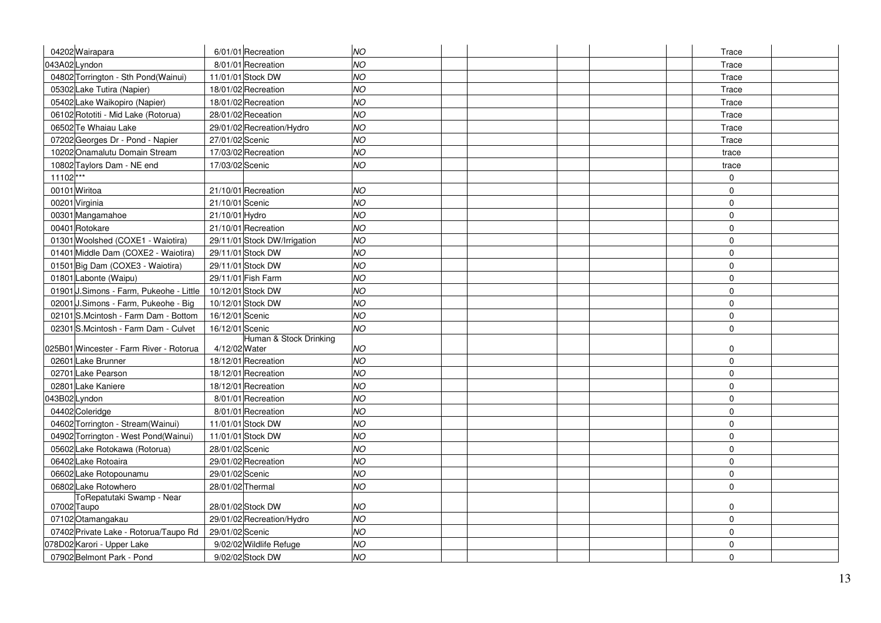| 04202 Wairapara                                   |                 | 6/01/01 Recreation           | NO        |  |  | Trace       |  |
|---------------------------------------------------|-----------------|------------------------------|-----------|--|--|-------------|--|
| 043A02Lyndon                                      |                 | 8/01/01 Recreation           | <b>NO</b> |  |  | Trace       |  |
| 04802 Torrington - Sth Pond(Wainui)               |                 | 11/01/01 Stock DW            | <b>NO</b> |  |  | Trace       |  |
| 05302 Lake Tutira (Napier)                        |                 | 18/01/02 Recreation          | <b>NO</b> |  |  | Trace       |  |
| 05402 Lake Waikopiro (Napier)                     |                 | 18/01/02 Recreation          | <b>NO</b> |  |  | Trace       |  |
| 06102 Rototiti - Mid Lake (Rotorua)               |                 | 28/01/02 Receation           | <b>NO</b> |  |  | Trace       |  |
| 06502 Te Whaiau Lake                              |                 | 29/01/02 Recreation/Hydro    | <b>NO</b> |  |  | Trace       |  |
| 07202 Georges Dr - Pond - Napier                  | 27/01/02 Scenic |                              | <b>NO</b> |  |  | Trace       |  |
| 10202 Onamalutu Domain Stream                     |                 | 17/03/02 Recreation          | <b>NO</b> |  |  | trace       |  |
| 10802 Taylors Dam - NE end                        | 17/03/02 Scenic |                              | NO        |  |  | trace       |  |
| $11102***$                                        |                 |                              |           |  |  | $\mathbf 0$ |  |
| 00101 Wiritoa                                     |                 | 21/10/01 Recreation          | NO        |  |  | $\mathbf 0$ |  |
| 00201 Virginia                                    | 21/10/01 Scenic |                              | NO        |  |  | $\mathbf 0$ |  |
| 00301 Mangamahoe                                  | 21/10/01 Hydro  |                              | NO        |  |  | $\mathbf 0$ |  |
| 00401 Rotokare                                    |                 | 21/10/01 Recreation          | <b>NO</b> |  |  | $\mathbf 0$ |  |
| 01301 Woolshed (COXE1 - Waiotira)                 |                 | 29/11/01 Stock DW/Irrigation | NO        |  |  | $\mathbf 0$ |  |
| 01401 Middle Dam (COXE2 - Waiotira)               |                 | 29/11/01 Stock DW            | <b>NO</b> |  |  | $\mathbf 0$ |  |
| 01501 Big Dam (COXE3 - Waiotira)                  |                 | 29/11/01 Stock DW            | <b>NO</b> |  |  | $\mathbf 0$ |  |
| 01801 Labonte (Waipu)                             |                 | 29/11/01 Fish Farm           | <b>NO</b> |  |  | $\mathbf 0$ |  |
| 01901 J.Simons - Farm, Pukeohe - Little           |                 | 10/12/01 Stock DW            | NO        |  |  | $\mathbf 0$ |  |
| 02001 J.Simons - Farm, Pukeohe - Big              |                 | 10/12/01 Stock DW            | <b>NO</b> |  |  | $\mathbf 0$ |  |
| 02101 S.Mcintosh - Farm Dam - Bottom              | 16/12/01 Scenic |                              | <b>NO</b> |  |  | $\mathbf 0$ |  |
| 02301 S.Mcintosh - Farm Dam - Culvet              | 16/12/01 Scenic |                              | <b>NO</b> |  |  | $\Omega$    |  |
|                                                   |                 | Human & Stock Drinking       |           |  |  |             |  |
| 025B01 Wincester - Farm River - Rotorua           | 4/12/02 Water   |                              | NO        |  |  | $\mathbf 0$ |  |
| 02601 Lake Brunner                                |                 | 18/12/01 Recreation          | NO        |  |  | $\mathbf 0$ |  |
| 02701 Lake Pearson                                |                 | 18/12/01 Recreation          | NO        |  |  | $\mathbf 0$ |  |
| 02801 Lake Kaniere                                |                 | 18/12/01 Recreation          | NO        |  |  | $\mathbf 0$ |  |
| 043B02Lyndon                                      |                 | 8/01/01 Recreation           | NO        |  |  | $\mathbf 0$ |  |
| 04402 Coleridge                                   |                 | 8/01/01 Recreation           | NO        |  |  | $\mathbf 0$ |  |
| 04602 Torrington - Stream (Wainui)                |                 | 11/01/01 Stock DW            | <b>NO</b> |  |  | $\mathbf 0$ |  |
| 04902 Torrington - West Pond(Wainui)              |                 | 11/01/01 Stock DW            | <b>NO</b> |  |  | $\mathbf 0$ |  |
| 05602 Lake Rotokawa (Rotorua)                     | 28/01/02 Scenic |                              | NO        |  |  | $\mathbf 0$ |  |
| 06402 Lake Rotoaira                               |                 | 29/01/02 Recreation          | <b>NO</b> |  |  | $\mathbf 0$ |  |
| 06602 Lake Rotopounamu                            | 29/01/02 Scenic |                              | <b>NO</b> |  |  | $\mathbf 0$ |  |
| 06802 Lake Rotowhero<br>ToRepatutaki Swamp - Near |                 | 28/01/02 Thermal             | <b>NO</b> |  |  | $\Omega$    |  |
| 07002 Taupo                                       |                 | 28/01/02 Stock DW            | NO        |  |  | $\mathbf 0$ |  |
| 07102 Otamangakau                                 |                 | 29/01/02 Recreation/Hydro    | <b>NO</b> |  |  | $\mathbf 0$ |  |
| 07402 Private Lake - Rotorua/Taupo Rd             | 29/01/02 Scenic |                              | <b>NO</b> |  |  | $\mathbf 0$ |  |
| 078D02 Karori - Upper Lake                        |                 | 9/02/02 Wildlife Refuge      | NO        |  |  | $\mathbf 0$ |  |
| 07902 Belmont Park - Pond                         |                 | 9/02/02 Stock DW             | NO        |  |  | $\mathbf 0$ |  |